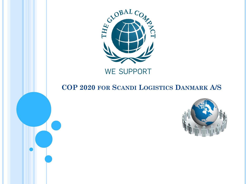

#### **COP 2020 FOR SCANDI LOGISTICS DANMARK A/S**

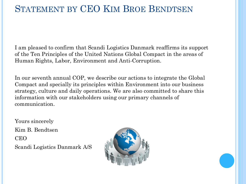### STATEMENT BY CEO KIM BROE BENDTSEN

I am pleased to confirm that Scandi Logistics Danmark reaffirms its support of the Ten Principles of the United Nations Global Compact in the areas of Human Rights, Labor, Environment and Anti-Corruption.

In our seventh annual COP, we describe our actions to integrate the Global Compact and specially its principles within Environment into our business strategy, culture and daily operations. We are also committed to share this information with our stakeholders using our primary channels of communication.

Yours sincerely Kim B. Bendtsen CEO Scandi Logistics Danmark A/S

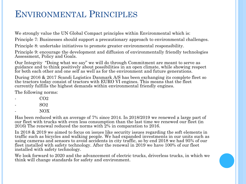### ENVIRONMENTAL PRINCIPLES

We strongly value the UN Global Compact principles within Environmental which is:

Principle 7: Businesses should support a precautionary approach to environmental challenges.

Principle 8: undertake initiatives to promote greater environmental responsibility.

Principle 9: encourage the development and diffusion of environmentally friendly technologies Assessment, Policy and Goals.

Our Integrity "Doing what we say" we will do through Commitment are meant to serve as guidance and to think positively about possibilities in an open climate, while showing respect for both each other and one self as well as for the environment and future generations.

During 2016 & 2017 Scandi Logistics Danmark A/S has been exchanging its complete fleet so the tractors today consist of tractors with EURO VI engines. This means that the fleet currently fulfills the highest demands within environmental friendly engines.

The following norms:

- CO2
- SO2
- NOX

Has been reduced with an average of 7% since 2014. In 2018/2019 we renewed a large part of our fleet with trucks with even less consumption than the last time we renewed our fleet (in 2016) The renewal reduced the norms with 2% in comparation to 2016.

In 2018 & 2019 we aimed to focus on issues like security issues regarding the soft elements in traffic such as bicycles and walking people. We had expanded investments in our units such as using cameras and sensors to avoid accidents in city traffic, so by end 2018 we had 95% of our fleet installed with safety technology. After the renewal in 2019 we have 100% of our fleet installed with safety technology.

We look forward to 2020 and the advancement of electric trucks, driverless trucks, in which we think will change standards for safety and environment.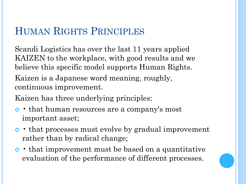# HUMAN RIGHTS PRINCIPLES

Scandi Logistics has over the last 11 years applied KAIZEN to the workplace, with good results and we believe this specific model supports Human Rights. Kaizen is a Japanese word meaning, roughly, continuous improvement.

Kaizen has three underlying principles:

- that human resources are a company's most important asset;
- that processes must evolve by gradual improvement rather than by radical change;
- that improvement must be based on a quantitative evaluation of the performance of different processes.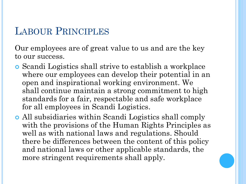### LABOUR PRINCIPLES

Our employees are of great value to us and are the key to our success.

- Scandi Logistics shall strive to establish a workplace where our employees can develop their potential in an open and inspirational working environment. We shall continue maintain a strong commitment to high standards for a fair, respectable and safe workplace for all employees in Scandi Logistics.
- All subsidiaries within Scandi Logistics shall comply with the provisions of the Human Rights Principles as well as with national laws and regulations. Should there be differences between the content of this policy and national laws or other applicable standards, the more stringent requirements shall apply.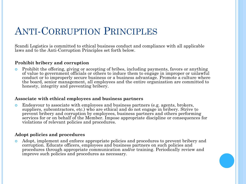# ANTI-CORRUPTION PRINCIPLES

Scandi Logistics is committed to ethical business conduct and compliance with all applicable laws and to the Anti-Corruption Principles set forth below.

#### **Prohibit bribery and corruption**

 Prohibit the offering, giving or accepting of bribes, including payments, favors or anything of value to government officials or others to induce them to engage in improper or unlawful conduct or to improperly secure business or a business advantage. Promote a culture where the board, senior management, all employees and the entire organization are committed to honesty, integrity and preventing bribery.

#### **Associate with ethical employees and business partners**

 Endeavour to associate with employees and business partners (e.g. agents, brokers, suppliers, subcontractors, etc.) who are ethical and do not engage in bribery. Strive to prevent bribery and corruption by employees, business partners and others performing services for or on behalf of the Member. Impose appropriate discipline or consequences for violations of relevant policies and procedures.

#### **Adopt policies and procedures**

 Adopt, implement and enforce appropriate policies and procedures to prevent bribery and corruption. Educate officers, employees and business partners on such policies and procedures through appropriate communication and/or training. Periodically review and improve such policies and procedures as necessary.